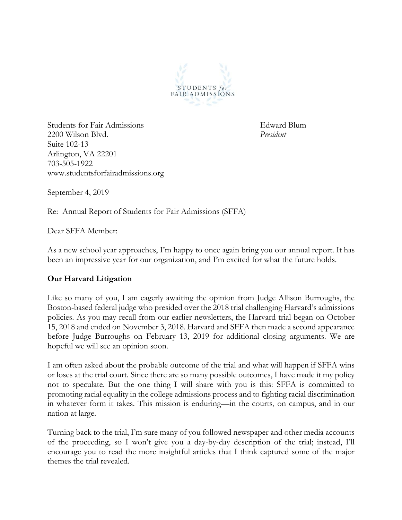

Students for Fair Admissions Edward Blum 2200 Wilson Blvd. *President* Suite 102-13 Arlington, VA 22201 703-505-1922 www.studentsforfairadmissions.org

September 4, 2019

Re: Annual Report of Students for Fair Admissions (SFFA)

Dear SFFA Member:

As a new school year approaches, I'm happy to once again bring you our annual report. It has been an impressive year for our organization, and I'm excited for what the future holds.

## **Our Harvard Litigation**

Like so many of you, I am eagerly awaiting the opinion from Judge Allison Burroughs, the Boston-based federal judge who presided over the 2018 trial challenging Harvard's admissions policies. As you may recall from our earlier newsletters, the Harvard trial began on October 15, 2018 and ended on November 3, 2018. Harvard and SFFA then made a second appearance before Judge Burroughs on February 13, 2019 for additional closing arguments. We are hopeful we will see an opinion soon.

I am often asked about the probable outcome of the trial and what will happen if SFFA wins or loses at the trial court. Since there are so many possible outcomes, I have made it my policy not to speculate. But the one thing I will share with you is this: SFFA is committed to promoting racial equality in the college admissions process and to fighting racial discrimination in whatever form it takes. This mission is enduring—in the courts, on campus, and in our nation at large.

Turning back to the trial, I'm sure many of you followed newspaper and other media accounts of the proceeding, so I won't give you a day-by-day description of the trial; instead, I'll encourage you to read the more insightful articles that I think captured some of the major themes the trial revealed.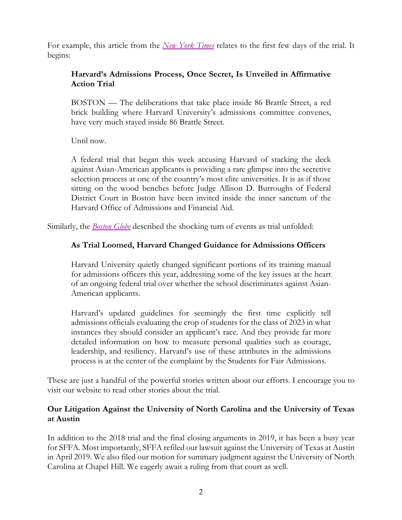For example, this article from the *New York Times* relates to the first few days of the trial. It begins:

# **Harvard's Admissions Process, Once Secret, Is Unveiled in Affirmative Action Trial**

BOSTON — The deliberations that take place inside 86 Brattle Street, a red brick building where Harvard University's admissions committee convenes, have very much stayed inside 86 Brattle Street.

Until now.

A federal trial that began this week accusing Harvard of stacking the deck against Asian-American applicants is providing a rare glimpse into the secretive selection process at one of the country's most elite universities. It is as if those sitting on the wood benches before Judge Allison D. Burroughs of Federal District Court in Boston have been invited inside the inner sanctum of the Harvard Office of Admissions and Financial Aid.

Similarly, the *Boston Globe* described the shocking turn of events as trial unfolded:

## **As Trial Loomed, Harvard Changed Guidance for Admissions Officers**

Harvard University quietly changed significant portions of its training manual for admissions officers this year, addressing some of the key issues at the heart of an ongoing federal trial over whether the school discriminates against Asian-American applicants.

Harvard's updated guidelines for seemingly the first time explicitly tell admissions officials evaluating the crop of students for the class of 2023 in what instances they should consider an applicant's race. And they provide far more detailed information on how to measure personal qualities such as courage, leadership, and resiliency. Harvard's use of these attributes in the admissions process is at the center of the complaint by the Students for Fair Admissions.

These are just a handful of the powerful stories written about our efforts. I encourage you to visit our website to read other stories about the trial.

## **Our Litigation Against the University of North Carolina and the University of Texas at Austin**

In addition to the 2018 trial and the final closing arguments in 2019, it has been a busy year for SFFA. Most importantly, SFFA refiled our lawsuit against the University of Texas at Austin in April 2019. We also filed our motion for summary judgment against the University of North Carolina at Chapel Hill. We eagerly await a ruling from that court as well.